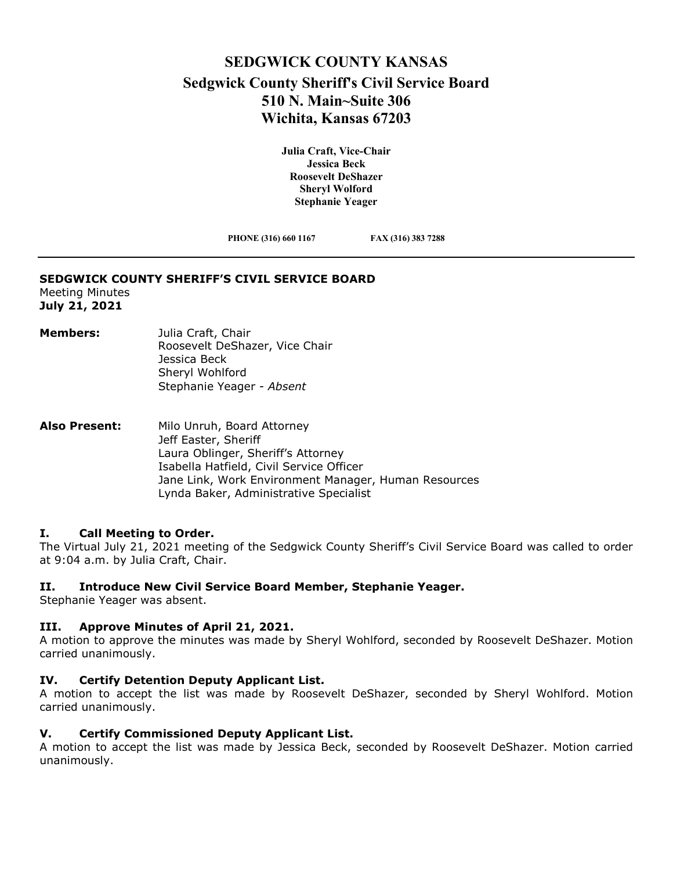# **SEDGWICK COUNTY KANSAS Sedgwick County Sheriff's Civil Service Board 510 N. Main~Suite 306 Wichita, Kansas 67203**

**Julia Craft, Vice-Chair Jessica Beck Roosevelt DeShazer Sheryl Wolford Stephanie Yeager**

**PHONE (316) 660 1167 FAX (316) 383 7288**

#### **SEDGWICK COUNTY SHERIFF'S CIVIL SERVICE BOARD**

Meeting Minutes **July 21, 2021**

- **Members:** Julia Craft, Chair Roosevelt DeShazer, Vice Chair Jessica Beck Sheryl Wohlford Stephanie Yeager *- Absent*
- **Also Present:** Milo Unruh, Board Attorney Jeff Easter, Sheriff Laura Oblinger, Sheriff's Attorney Isabella Hatfield, Civil Service Officer Jane Link, Work Environment Manager, Human Resources Lynda Baker, Administrative Specialist

## **I. Call Meeting to Order.**

The Virtual July 21, 2021 meeting of the Sedgwick County Sheriff's Civil Service Board was called to order at 9:04 a.m. by Julia Craft, Chair.

## **II. Introduce New Civil Service Board Member, Stephanie Yeager.**

Stephanie Yeager was absent.

## **III. Approve Minutes of April 21, 2021.**

A motion to approve the minutes was made by Sheryl Wohlford, seconded by Roosevelt DeShazer. Motion carried unanimously.

## **IV. Certify Detention Deputy Applicant List.**

A motion to accept the list was made by Roosevelt DeShazer, seconded by Sheryl Wohlford. Motion carried unanimously.

#### **V. Certify Commissioned Deputy Applicant List.**

A motion to accept the list was made by Jessica Beck, seconded by Roosevelt DeShazer. Motion carried unanimously.